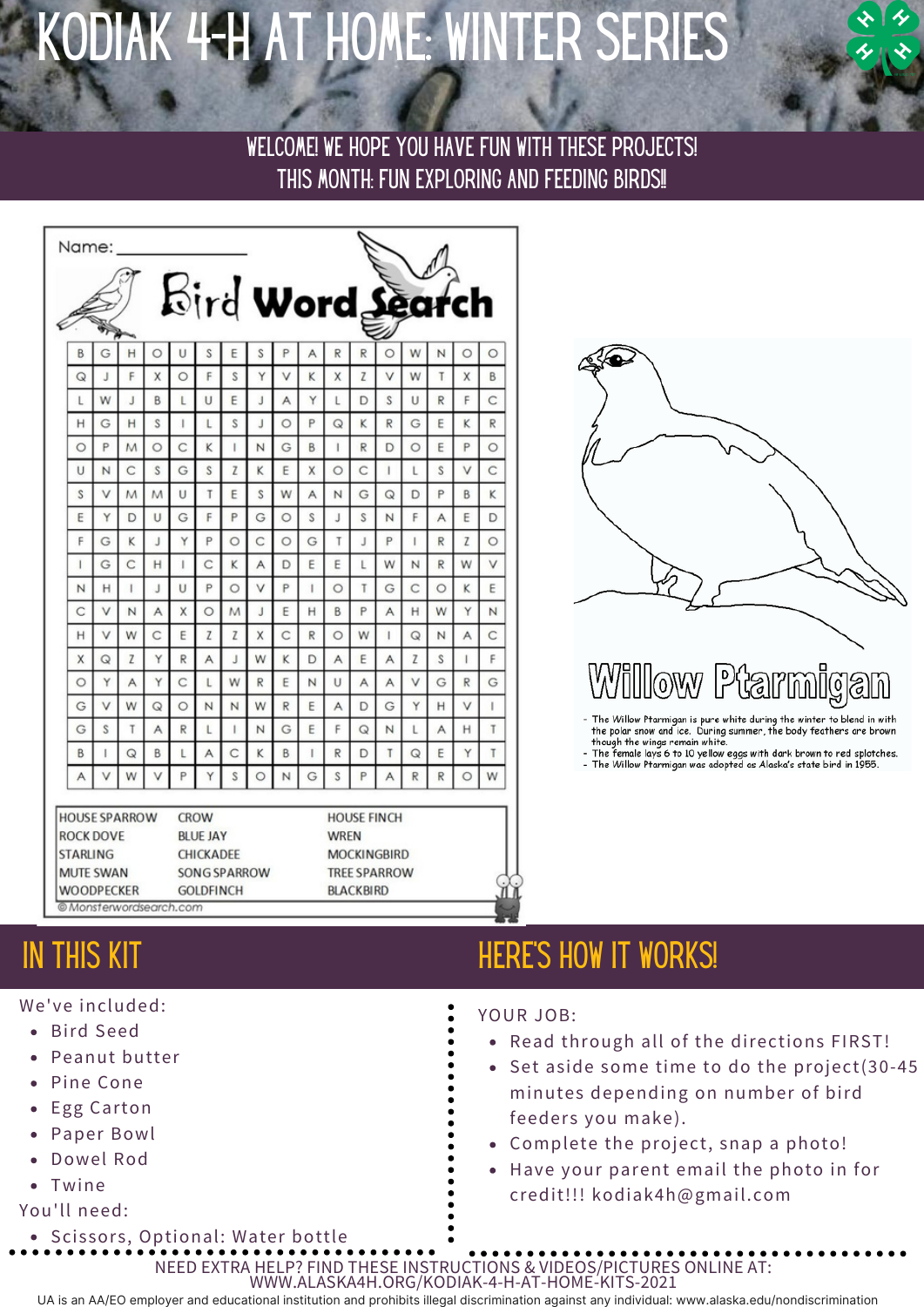# Kodiak 4-H at home: WINTER series

WELCOME! WE HOPE YOU HAVE FUN WITH THESE PROJECTS! THIS MONTH: FUN EXPLORING AND FEEDING BIRDS!!

| Name:                                                                                                                           |             |   |         |                                                                                 |              |         |         |             |                                                                                                    |                  |   |              |             |              |              |              |
|---------------------------------------------------------------------------------------------------------------------------------|-------------|---|---------|---------------------------------------------------------------------------------|--------------|---------|---------|-------------|----------------------------------------------------------------------------------------------------|------------------|---|--------------|-------------|--------------|--------------|--------------|
|                                                                                                                                 |             |   |         |                                                                                 |              |         |         |             |                                                                                                    | Bird Word Search |   |              |             |              |              |              |
| B                                                                                                                               | G           | н | $\circ$ | U                                                                               | S            | Ε       | S       |             | Α                                                                                                  | R                | R | O            | W           | N            | O            | $\circ$      |
| $\mathsf Q$                                                                                                                     | $\lrcorner$ | F | X       | $\circ$                                                                         | F            | S       | Y       | v           | Κ                                                                                                  | X                | Z | V            | W           |              | X            | B            |
| L                                                                                                                               | W           |   | B       | L                                                                               | U            | E       |         | A           | Y                                                                                                  |                  | D | S            | U           | $\mathbb{R}$ | F            | C            |
| Н                                                                                                                               | G           | H | S       |                                                                                 | L            | S       | J       | $\circ$     | P                                                                                                  | $\mathsf Q$      | κ | $\mathbb{R}$ | G           | E            | Κ            | $\mathsf{R}$ |
| $\circ$                                                                                                                         | P           | M | $\circ$ | C                                                                               | K            |         | N       | G           | B                                                                                                  |                  | R | D            | $\circ$     | E            | P            | $\circ$      |
| U                                                                                                                               | N           | C | S       | G                                                                               | S            | Z       | κ       | E           | X                                                                                                  | $\circ$          | С | L.           | L           | S            | V            | C            |
| S                                                                                                                               | V           | M | M       | U                                                                               | T            | E       | S       | W           | A                                                                                                  | N                | G | Q            | D           | P            | B            | κ            |
| E                                                                                                                               | Y           | D | $\cup$  | G                                                                               | F            | P       | G       | $\circ$     | S                                                                                                  |                  | S | $\mathsf{N}$ | F           | A            | E            | D            |
| F                                                                                                                               | G           | K | J       | Y                                                                               | P            | $\circ$ | C       | $\circ$     | G                                                                                                  | T                | J | P            |             | R            | Z            | $\circ$      |
| $\mathbf{I}$                                                                                                                    | G           | C | H       |                                                                                 | C            | Κ       | A       | D           | Ε                                                                                                  | E                |   | W            | N           | R            | W            | V            |
| N                                                                                                                               | H           |   | J       | U                                                                               | P            | $\circ$ | V       | P           |                                                                                                    | $\circ$          | T | G            | C           | $\circ$      | Κ            | E            |
| $\mathsf C$                                                                                                                     | V           | N | A       | X                                                                               | $\circ$      | M       | J       | Ε           | H                                                                                                  | B                | P | A            | H           | W            | Y            | N            |
| H                                                                                                                               | V           | W | C       | E                                                                               | Z            | Z       | X       | C           | $\mathsf R$                                                                                        | $\circ$          | W |              | $\mathsf Q$ | N            | A            | C            |
| X                                                                                                                               | $\mathsf Q$ | Z | Υ       | R                                                                               | A            |         | W       | Κ           | D                                                                                                  | A                | E | A            | Z           | S            |              | F.           |
| $\circ$                                                                                                                         | Y           | A | Y       | C                                                                               | $\mathsf{L}$ | W       | R       | E           | N                                                                                                  | U                | A | A            | V           | G            | $\mathbb{R}$ | G            |
| G                                                                                                                               | V           | W | Q       | $\circ$                                                                         | N            | N       | W       | $\mathsf R$ | E                                                                                                  | Α                | D | G            | Y           | H            | V            |              |
| G                                                                                                                               | S           |   | Α       | R                                                                               | L            |         | N       | G           | E                                                                                                  | F                | Q | N            |             | Α            | Н            | T            |
| B                                                                                                                               |             | Q | B       |                                                                                 | A            | C       | Κ       | B           |                                                                                                    | R                | D | T            | $\mathsf Q$ | E            | Υ            | T            |
| A                                                                                                                               | V           | W | v       | P                                                                               |              | S       | $\circ$ | N           | G                                                                                                  | S                | P | A            | R           | R            | $\circ$      | W            |
|                                                                                                                                 |             |   |         |                                                                                 |              |         |         |             |                                                                                                    |                  |   |              |             |              |              |              |
| <b>HOUSE SPARROW</b><br><b>ROCK DOVE</b><br><b>STARLING</b><br><b>MUTE SWAN</b><br><b>WOODPECKER</b><br>© Monsterwordsearch.com |             |   |         | <b>CROW</b><br><b>BLUE JAY</b><br>CHICKADEE<br>SONG SPARROW<br><b>GOLDFINCH</b> |              |         |         |             | <b>HOUSE FINCH</b><br><b>WREN</b><br><b>MOCKINGBIRD</b><br><b>TREE SPARROW</b><br><b>BLACKBIRD</b> |                  |   |              |             |              |              |              |

- We've included:
	- Bird Seed
	- Peanut butter
	- Pine Cone
	- Egg Carton
	- Paper Bowl
	- Dowel Rod
	- Twine

### You'll need:

Scissors, Optional: Water bottle

# IN THIS KIT **HERE'S HOW IT WORKS!**

- YOUR JOB:
	- Read through all of the directions FIRST!
	- Set aside some time to do the project(30-45 minutes depending on number of bird feeders you make).
	- Complete the project, snap a photo!
	- Have your parent email the photo in for credit!!! kodiak4h@gmail.com

NEED EXTRA HELP? FIND THESE INSTRUCTIONS & VIDEOS/PICTURES ONLINE AT: WWW.ALASKA4H.ORG/KODIAK-4-H-AT-HOME-KITS-2021

UA is an AA/EO employer and educational institution and prohibits illegal discrimination against any individual: www.alaska.edu/nondiscrimination